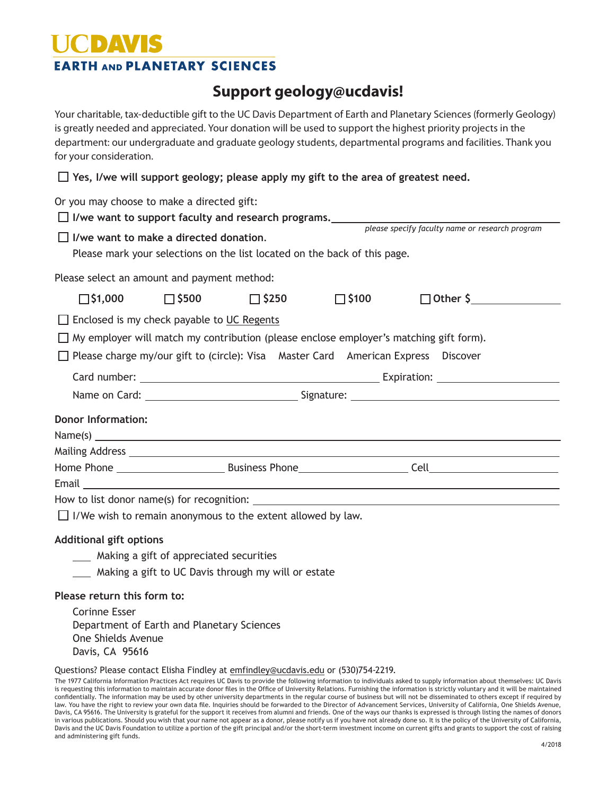# **EARTH AND PLANETARY SCIENCES**

## **Support geology@ucdavis!**

Your charitable, tax-deductible gift to the UC Davis Department of Earth and Planetary Sciences (formerly Geology) is greatly needed and appreciated. Your donation will be used to support the highest priority projects in the department: our undergraduate and graduate geology students, departmental programs and facilities. Thank you for your consideration.  **Yes, I/we will support geology; please apply my gift to the area of greatest need.** Or you may choose to make a directed gift: **I/we want to support faculty and research programs.** *please specify faculty name or research program* **I/we want to make a directed donation**. Please mark your selections on the list located on the back of this page. Please select an amount and payment method:  $\Box$ \$1,000  $\Box$ \$500  $\Box$ \$250  $\Box$ \$100  $\Box$  Other \$  $\Box$  Enclosed is my check payable to UC Regents  $\Box$  My employer will match my contribution (please enclose employer's matching gift form).  $\Box$  Please charge my/our gift to (circle): Visa Master Card American Express Discover Card number: Expiration: Name on Card: Name on Card: Name on Card: Name on Card: Name on Card: Name on Card: Name on Signature: Name of Signature: Name of Signature: Name of Signature: Name of Signature: Name of Signature: Name of Signature: Name **Donor Information:** Name(s) Mailing Address Home Phone Business Phone Cell Email How to list donor name(s) for recognition:

 $\Box$  I/We wish to remain anonymous to the extent allowed by law.

#### **Additional gift options**

- **Making a gift of appreciated securities**
- Making a gift to UC Davis through my will or estate

#### **Please return this form to:**

| Corinne Esser      |                                            |
|--------------------|--------------------------------------------|
|                    | Department of Earth and Planetary Sciences |
| One Shields Avenue |                                            |
| Davis, CA 95616    |                                            |

#### Questions? Please contact Elisha Findley at emfindley@ucdavis.edu or (530)754-2219.

| The 1977 California Information Practices Act requires UC Davis to provide the following information to individuals asked to supply information about themselves: UC Davis         |
|------------------------------------------------------------------------------------------------------------------------------------------------------------------------------------|
| is requesting this information to maintain accurate donor files in the Office of University Relations. Furnishing the information is strictly voluntary and it will be maintained  |
| confidentially. The information may be used by other university departments in the regular course of business but will not be disseminated to others except if required by         |
| law. You have the right to review your own data file. Inquiries should be forwarded to the Director of Advancement Services, University of California, One Shields Avenue,         |
| Davis, CA 95616. The University is grateful for the support it receives from alumni and friends. One of the ways our thanks is expressed is through listing the names of donors    |
| in various publications. Should you wish that your name not appear as a donor, please notify us if you have not already done so. It is the policy of the University of California, |
| Davis and the UC Davis Foundation to utilize a portion of the gift principal and/or the short-term investment income on current gifts and grants to support the cost of raising    |
| and administering gift funds.                                                                                                                                                      |